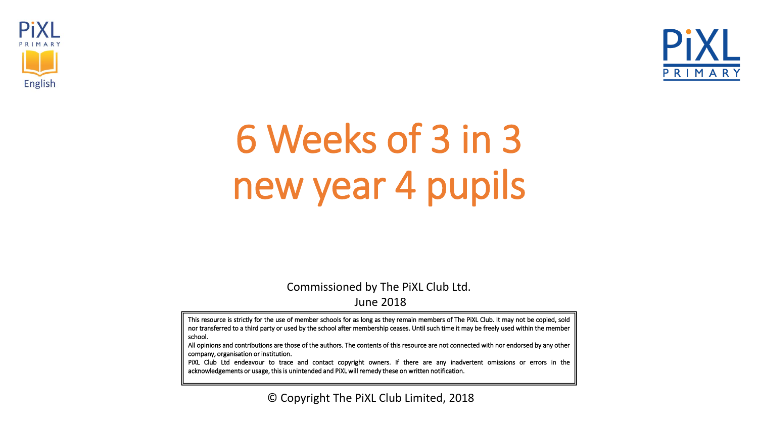



# 6 Weeks of 3 in 3 new year 4 pupils

Commissioned by The PiXL Club Ltd. June 2018

This resource is strictly for the use of member schools for as long as they remain members of The PiXL Club. It may not be copied, sold nor transferred to a third party or used by the school after membership ceases. Until such time it may be freely used within the member school.

All opinions and contributions are those of the authors. The contents of this resource are not connected with nor endorsed by any other company, organisation or institution.

PiXL Club Ltd endeavour to trace and contact copyright owners. If there are any inadvertent omissions or errors in the acknowledgements or usage, thisis unintended and PiXL will remedy these on written notification.

© Copyright The PiXL Club Limited, 2018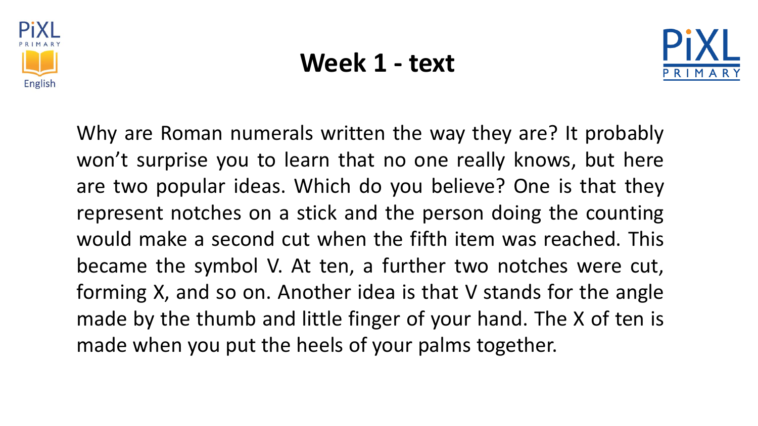

#### **Week 1 - text**



Why are Roman numerals written the way they are? It probably won't surprise you to learn that no one really knows, but here are two popular ideas. Which do you believe? One is that they represent notches on a stick and the person doing the counting would make a second cut when the fifth item was reached. This became the symbol V. At ten, a further two notches were cut, forming X, and so on. Another idea is that V stands for the angle made by the thumb and little finger of your hand. The X of ten is made when you put the heels of your palms together.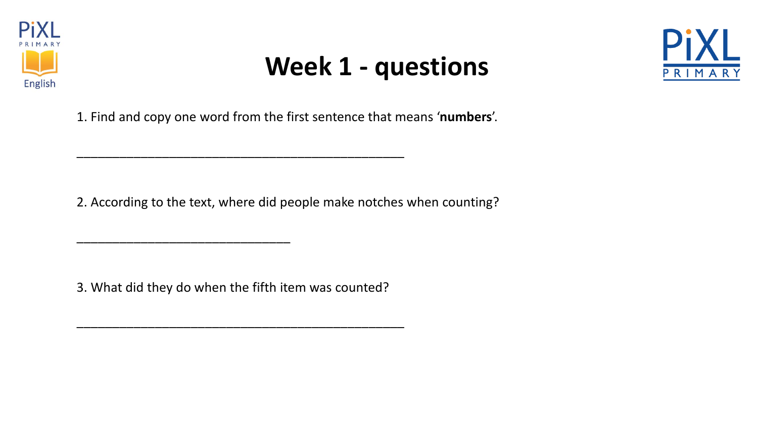

# **Week 1 - questions**



1. Find and copy one word from the first sentence that means '**numbers**'.

2. According to the text, where did people make notches when counting?

3. What did they do when the fifth item was counted?

\_\_\_\_\_\_\_\_\_\_\_\_\_\_\_\_\_\_\_\_\_\_\_\_\_\_\_\_\_\_\_\_\_\_\_\_\_\_\_\_\_\_\_\_\_\_

\_\_\_\_\_\_\_\_\_\_\_\_\_\_\_\_\_\_\_\_\_\_\_\_\_\_\_\_\_\_

\_\_\_\_\_\_\_\_\_\_\_\_\_\_\_\_\_\_\_\_\_\_\_\_\_\_\_\_\_\_\_\_\_\_\_\_\_\_\_\_\_\_\_\_\_\_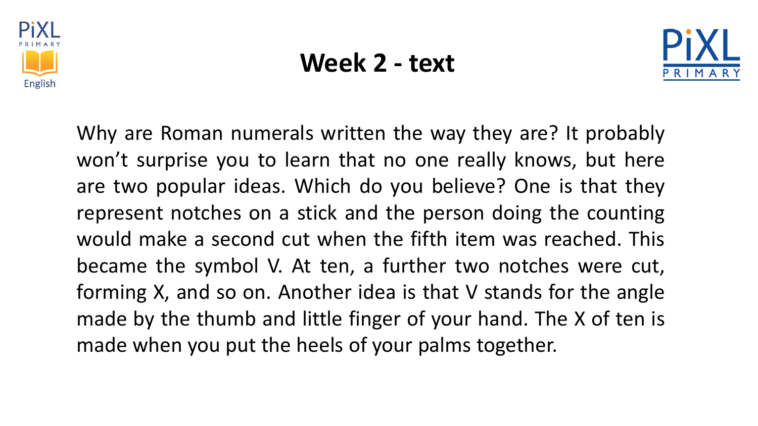

#### **Week 2 - text**



Why are Roman numerals written the way they are? It probably won't surprise you to learn that no one really knows, but here are two popular ideas. Which do you believe? One is that they represent notches on a stick and the person doing the counting would make a second cut when the fifth item was reached. This became the symbol V. At ten, a further two notches were cut, forming X, and so on. Another idea is that V stands for the angle made by the thumb and little finger of your hand. The X of ten is made when you put the heels of your palms together.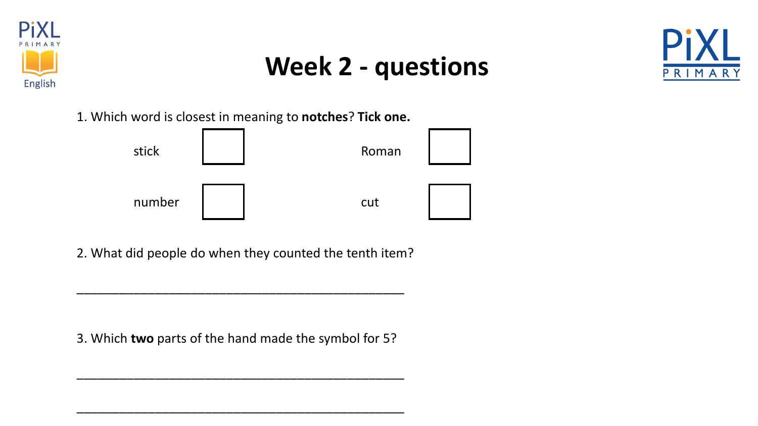

## **Week 2 - questions**



1. Which word is closest in meaning to **notches**? **Tick one.**



2. What did people do when they counted the tenth item?

\_\_\_\_\_\_\_\_\_\_\_\_\_\_\_\_\_\_\_\_\_\_\_\_\_\_\_\_\_\_\_\_\_\_\_\_\_\_\_\_\_\_\_\_\_\_

3. Which **two** parts of the hand made the symbol for 5?

\_\_\_\_\_\_\_\_\_\_\_\_\_\_\_\_\_\_\_\_\_\_\_\_\_\_\_\_\_\_\_\_\_\_\_\_\_\_\_\_\_\_\_\_\_\_

\_\_\_\_\_\_\_\_\_\_\_\_\_\_\_\_\_\_\_\_\_\_\_\_\_\_\_\_\_\_\_\_\_\_\_\_\_\_\_\_\_\_\_\_\_\_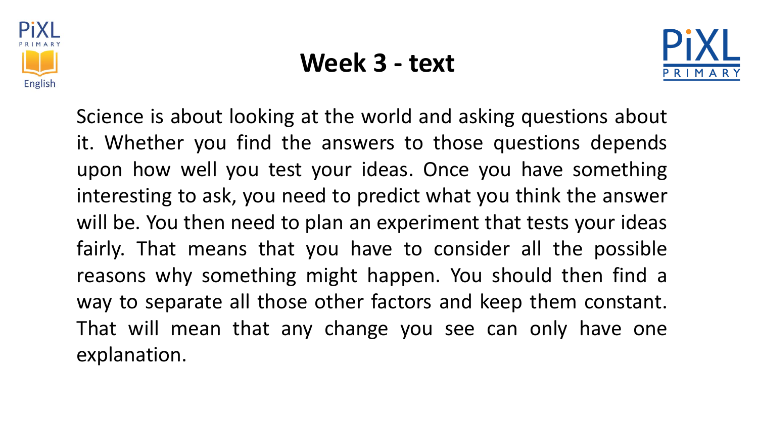

#### **Week 3 - text**



Science is about looking at the world and asking questions about it. Whether you find the answers to those questions depends upon how well you test your ideas. Once you have something interesting to ask, you need to predict what you think the answer will be. You then need to plan an experiment that tests your ideas fairly. That means that you have to consider all the possible reasons why something might happen. You should then find a way to separate all those other factors and keep them constant. That will mean that any change you see can only have one explanation.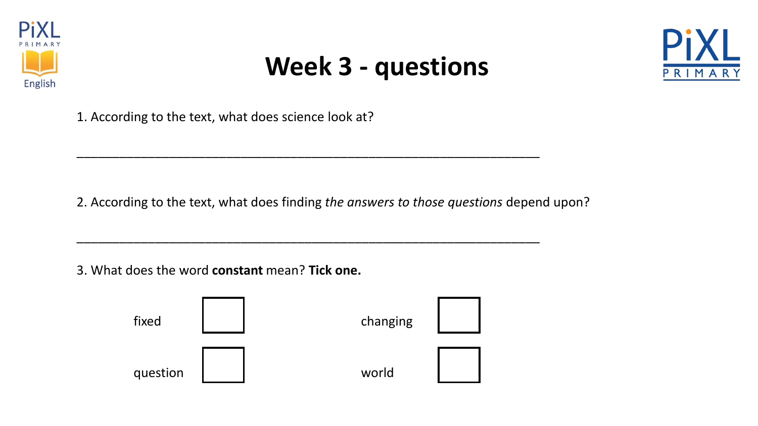

## **Week 3 - questions**



1. According to the text, what does science look at?

2. According to the text, what does finding *the answers to those questions* depend upon?

\_\_\_\_\_\_\_\_\_\_\_\_\_\_\_\_\_\_\_\_\_\_\_\_\_\_\_\_\_\_\_\_\_\_\_\_\_\_\_\_\_\_\_\_\_\_\_\_\_\_\_\_\_\_\_\_\_\_\_\_\_\_\_\_\_

\_\_\_\_\_\_\_\_\_\_\_\_\_\_\_\_\_\_\_\_\_\_\_\_\_\_\_\_\_\_\_\_\_\_\_\_\_\_\_\_\_\_\_\_\_\_\_\_\_\_\_\_\_\_\_\_\_\_\_\_\_\_\_\_\_

3. What does the word **constant** mean? **Tick one.**

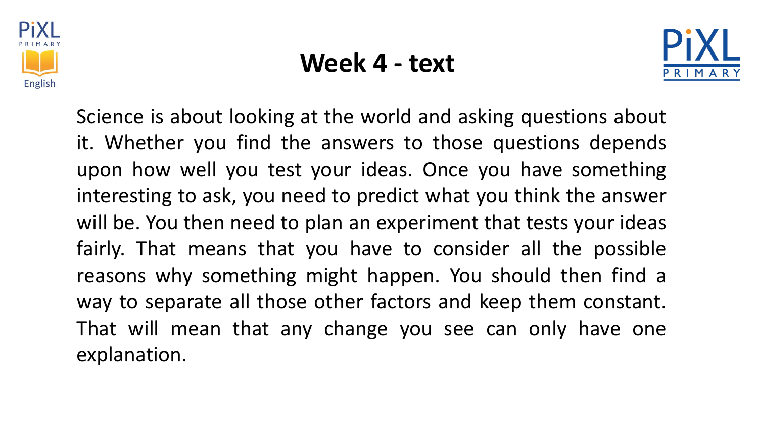

#### **Week 4 - text**



Science is about looking at the world and asking questions about it. Whether you find the answers to those questions depends upon how well you test your ideas. Once you have something interesting to ask, you need to predict what you think the answer will be. You then need to plan an experiment that tests your ideas fairly. That means that you have to consider all the possible reasons why something might happen. You should then find a way to separate all those other factors and keep them constant. That will mean that any change you see can only have one explanation.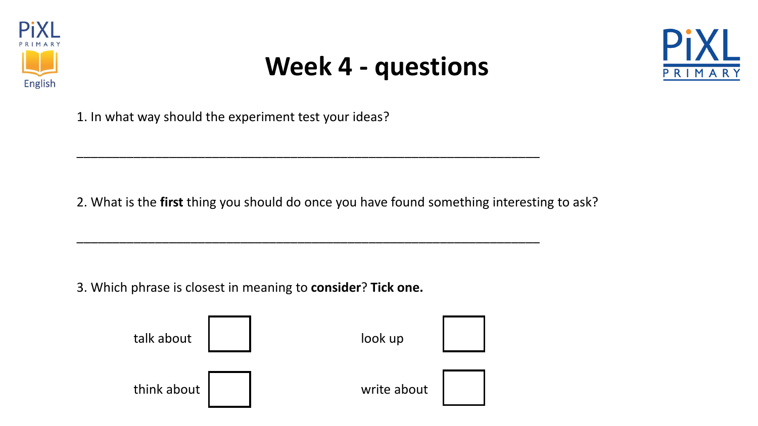

## **Week 4 - questions**



1. In what way should the experiment test your ideas?

2. What is the **first** thing you should do once you have found something interesting to ask?

\_\_\_\_\_\_\_\_\_\_\_\_\_\_\_\_\_\_\_\_\_\_\_\_\_\_\_\_\_\_\_\_\_\_\_\_\_\_\_\_\_\_\_\_\_\_\_\_\_\_\_\_\_\_\_\_\_\_\_\_\_\_\_\_\_

\_\_\_\_\_\_\_\_\_\_\_\_\_\_\_\_\_\_\_\_\_\_\_\_\_\_\_\_\_\_\_\_\_\_\_\_\_\_\_\_\_\_\_\_\_\_\_\_\_\_\_\_\_\_\_\_\_\_\_\_\_\_\_\_\_

3. Which phrase is closest in meaning to **consider**? **Tick one.**

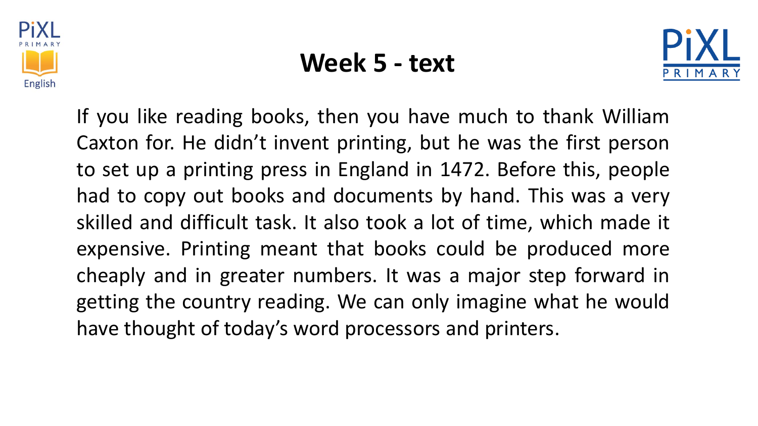

#### **Week 5 - text**



If you like reading books, then you have much to thank William Caxton for. He didn't invent printing, but he was the first person to set up a printing press in England in 1472. Before this, people had to copy out books and documents by hand. This was a very skilled and difficult task. It also took a lot of time, which made it expensive. Printing meant that books could be produced more cheaply and in greater numbers. It was a major step forward in getting the country reading. We can only imagine what he would have thought of today's word processors and printers.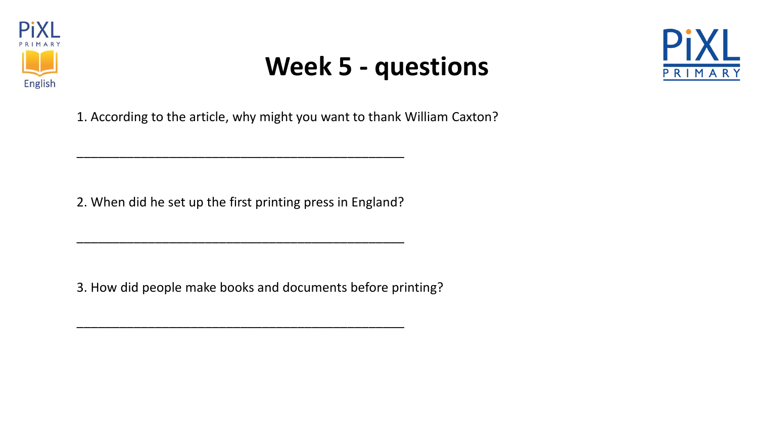

# **Week 5 - questions**



1. According to the article, why might you want to thank William Caxton?

2. When did he set up the first printing press in England?

\_\_\_\_\_\_\_\_\_\_\_\_\_\_\_\_\_\_\_\_\_\_\_\_\_\_\_\_\_\_\_\_\_\_\_\_\_\_\_\_\_\_\_\_\_\_

\_\_\_\_\_\_\_\_\_\_\_\_\_\_\_\_\_\_\_\_\_\_\_\_\_\_\_\_\_\_\_\_\_\_\_\_\_\_\_\_\_\_\_\_\_\_

\_\_\_\_\_\_\_\_\_\_\_\_\_\_\_\_\_\_\_\_\_\_\_\_\_\_\_\_\_\_\_\_\_\_\_\_\_\_\_\_\_\_\_\_\_\_

3. How did people make books and documents before printing?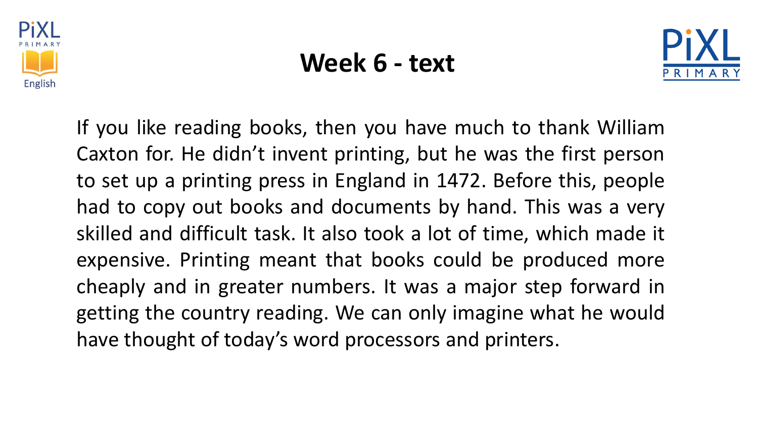

#### **Week 6 - text**



If you like reading books, then you have much to thank William Caxton for. He didn't invent printing, but he was the first person to set up a printing press in England in 1472. Before this, people had to copy out books and documents by hand. This was a very skilled and difficult task. It also took a lot of time, which made it expensive. Printing meant that books could be produced more cheaply and in greater numbers. It was a major step forward in getting the country reading. We can only imagine what he would have thought of today's word processors and printers.